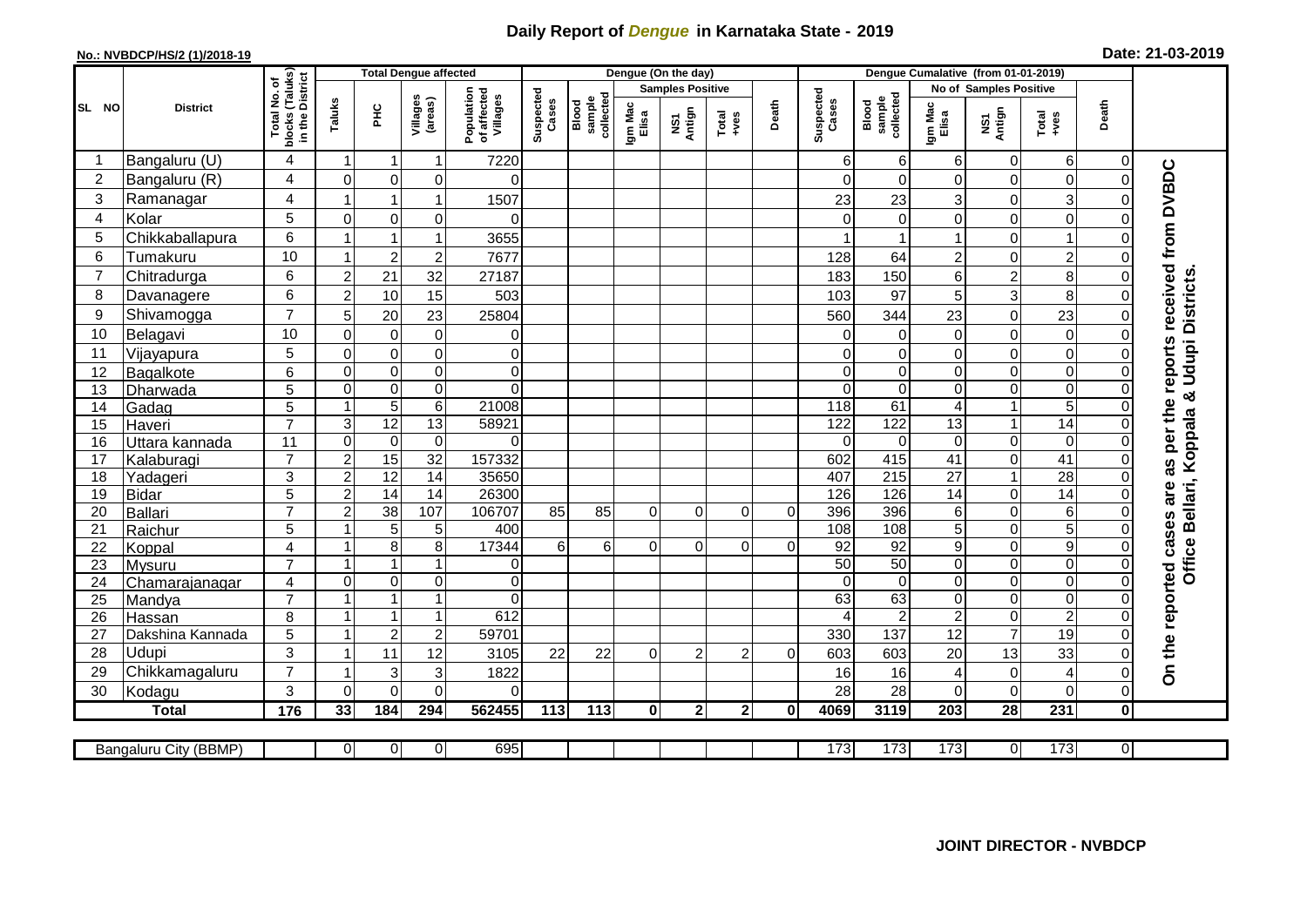## **Daily Report of** *Dengue* **in Karnataka State - 2019**

## **No.: NVBDCP/HS/2 (1)/2018-19**

| Date: 21-03-2019 |  |  |  |  |
|------------------|--|--|--|--|
|------------------|--|--|--|--|

|                | <b>Total Dengue affected</b> |                                                                         |                         |                  |                     | Dengue (On the day)                   |                    |                             |                  |                         |                |              |                    | Dengue Cumalative (from 01-01-2019) |                  |                               |                 |                |                                            |  |
|----------------|------------------------------|-------------------------------------------------------------------------|-------------------------|------------------|---------------------|---------------------------------------|--------------------|-----------------------------|------------------|-------------------------|----------------|--------------|--------------------|-------------------------------------|------------------|-------------------------------|-----------------|----------------|--------------------------------------------|--|
|                |                              |                                                                         |                         |                  |                     |                                       |                    |                             |                  | <b>Samples Positive</b> |                |              |                    |                                     |                  | <b>No of Samples Positive</b> |                 |                |                                            |  |
| SL NO          | <b>District</b>              | Total No. of<br>Jocks (Taluks)<br>in the District<br>blocks<br>in the I | Taluks                  | ᆂ                | Villages<br>(areas) | Population<br>of affected<br>Villages | Suspected<br>Cases | sample<br>collecte<br>Blood | Igm Mac<br>Elisa | NS1<br>Antign           | Total<br>+ves  | Death        | Suspected<br>Cases | collected<br>sample<br>Blood        | Igm Mac<br>Elisa | NS1<br>Antign                 | Total<br>$+ves$ | Death          |                                            |  |
|                | Bangaluru (U)                | 4                                                                       | -1                      | -1               | 1                   | 7220                                  |                    |                             |                  |                         |                |              | 6                  | 6                                   | 6                | $\mathbf 0$                   | 6               | 0              |                                            |  |
| $\overline{2}$ | Bangaluru (R)                | 4                                                                       | $\Omega$                | $\mathbf 0$      | 0                   | $\Omega$                              |                    |                             |                  |                         |                |              | $\Omega$           | $\Omega$                            | $\Omega$         | 0                             | $\pmb{0}$       | $\Omega$       | as per the reports received from DVBDC     |  |
| 3              | Ramanagar                    | $\overline{4}$                                                          |                         | 1                | 1                   | 1507                                  |                    |                             |                  |                         |                |              | 23                 | 23                                  | 3                | 0                             | 3               |                |                                            |  |
| 4              | Kolar                        | 5                                                                       | $\Omega$                | $\mathbf 0$      | 0                   | $\Omega$                              |                    |                             |                  |                         |                |              | $\Omega$           | $\Omega$                            | $\Omega$         | 0                             | $\mathbf 0$     |                |                                            |  |
| 5              | Chikkaballapura              | 6                                                                       | -1                      | $\mathbf 1$      | 1                   | 3655                                  |                    |                             |                  |                         |                |              |                    |                                     |                  | $\pmb{0}$                     | $\mathbf 1$     |                |                                            |  |
| 6              | Tumakuru                     | 10                                                                      |                         | $\overline{c}$   | $\overline{2}$      | 7677                                  |                    |                             |                  |                         |                |              | 128                | 64                                  | $\overline{2}$   | $\mathbf 0$                   | $\overline{2}$  |                |                                            |  |
| $\overline{7}$ | Chitradurga                  | 6                                                                       | $\overline{c}$          | 21               | 32                  | 27187                                 |                    |                             |                  |                         |                |              | 183                | 150                                 | 6                | $\overline{c}$                | 8               |                |                                            |  |
| 8              | Davanagere                   | 6                                                                       | $\overline{2}$          | 10               | 15                  | 503                                   |                    |                             |                  |                         |                |              | 103                | 97                                  | 5                | 3                             | 8               |                |                                            |  |
| 9              | Shivamogga                   | $\overline{7}$                                                          | 5                       | 20               | 23                  | 25804                                 |                    |                             |                  |                         |                |              | 560                | 344                                 | 23               | $\boldsymbol{0}$              | 23              |                | Office Bellari, Koppala & Udupi Districts. |  |
| 10             | Belagavi                     | 10                                                                      | $\mathbf 0$             | $\mathbf 0$      | $\pmb{0}$           | 0                                     |                    |                             |                  |                         |                |              | 0                  | 0                                   | 0                | $\mathbf 0$                   | $\pmb{0}$       |                |                                            |  |
| 11             | Vijayapura                   | 5                                                                       | $\mathbf 0$             | $\pmb{0}$        | $\mathsf 0$         | $\pmb{0}$                             |                    |                             |                  |                         |                |              | 0                  | $\mathbf 0$                         | 0                | $\mathbf 0$                   | $\pmb{0}$       |                |                                            |  |
| 12             | Bagalkote                    | 6                                                                       | $\Omega$                | $\mathbf 0$      | $\overline{0}$      | $\overline{\mathsf{o}}$               |                    |                             |                  |                         |                |              | $\Omega$           | $\mathbf 0$                         | 0                | $\mathbf 0$                   | $\overline{0}$  |                |                                            |  |
| 13             | Dharwada                     | $\overline{5}$                                                          | $\mathbf 0$             | $\boldsymbol{0}$ | $\mathsf 0$         | $\mathbf 0$                           |                    |                             |                  |                         |                |              | $\Omega$           | $\mathbf 0$                         | 0                | $\mathbf 0$                   | $\mathbf 0$     | $\Omega$       |                                            |  |
| 14             | Gadag                        | 5                                                                       | $\overline{1}$          | $\overline{5}$   | $\overline{6}$      | 21008                                 |                    |                             |                  |                         |                |              | 118                | 61                                  | $\overline{4}$   | $\mathbf{1}$                  | $\mathbf 5$     |                |                                            |  |
| 15             | Haveri                       | $\overline{7}$                                                          | 3                       | $\overline{12}$  | 13                  | 58921                                 |                    |                             |                  |                         |                |              | 122                | 122                                 | 13               | $\mathbf{1}$                  | $\overline{14}$ | 0              |                                            |  |
| 16             | Uttara kannada               | 11                                                                      | $\mathbf 0$             | $\pmb{0}$        | 0                   | $\Omega$                              |                    |                             |                  |                         |                |              | $\Omega$           | $\Omega$                            | 0                | $\pmb{0}$                     | $\pmb{0}$       |                |                                            |  |
| 17             | Kalaburagi                   | $\overline{7}$                                                          | $\overline{c}$          | 15               | $\overline{32}$     | 157332                                |                    |                             |                  |                         |                |              | 602                | 415                                 | 41               | $\mathbf 0$                   | $\overline{41}$ | $\Omega$       |                                            |  |
| 18             | Yadageri                     | $\overline{3}$                                                          | $\overline{2}$          | 12               | 14                  | 35650                                 |                    |                             |                  |                         |                |              | 407                | 215                                 | $\overline{27}$  | $\overline{1}$                | $\overline{28}$ |                |                                            |  |
| 19             | <b>Bidar</b>                 | 5                                                                       | $\overline{2}$          | $\overline{14}$  | $\overline{14}$     | 26300                                 |                    |                             |                  |                         |                |              | 126                | 126                                 | $\overline{14}$  | 0                             | $\overline{14}$ |                | are                                        |  |
| 20             | Ballari                      | $\overline{7}$                                                          | $\overline{2}$          | 38               | 107                 | 106707                                | 85                 | 85                          | $\overline{0}$   | 0                       | 0              | $\Omega$     | 396                | 396                                 | 6                | 0                             | 6               |                |                                            |  |
| 21             | Raichur                      | 5                                                                       |                         | 5                | $\mathbf 5$         | 400                                   |                    |                             |                  |                         |                |              | 108                | 108                                 | 5                | $\mathbf 0$                   | $\overline{5}$  |                |                                            |  |
| 22             | Koppal                       | $\overline{\mathbf{4}}$                                                 | -1                      | 8                | 8                   | 17344                                 | 6                  | $6 \mid$                    | $\overline{0}$   | 0                       | 0              | 0            | 92                 | 92                                  | 9                | $\pmb{0}$                     | $\overline{9}$  |                |                                            |  |
| 23             | Mysuru                       | $\overline{7}$                                                          |                         | $\overline{1}$   | 1                   | $\overline{0}$                        |                    |                             |                  |                         |                |              | 50                 | 50                                  | 0                | $\mathbf 0$                   | $\overline{0}$  | $\Omega$       |                                            |  |
| 24             | Chamarajanagar               | 4                                                                       | $\mathbf 0$             | $\pmb{0}$        | $\mathbf 0$         | $\mathbf 0$                           |                    |                             |                  |                         |                |              | $\Omega$           | $\mathbf 0$                         | 0                | $\boldsymbol{0}$              | $\mathbf 0$     | $\Omega$       |                                            |  |
| 25             | Mandya                       | $\overline{7}$                                                          |                         | $\overline{1}$   | 1                   | $\overline{0}$                        |                    |                             |                  |                         |                |              | 63                 | 63                                  | 0                | $\pmb{0}$                     | $\pmb{0}$       | $\Omega$       |                                            |  |
| 26             | Hassan                       | 8                                                                       | $\overline{\mathbf{1}}$ | $\mathbf{1}$     | 1                   | 612                                   |                    |                             |                  |                         |                |              |                    | $\overline{2}$                      | $\overline{c}$   | $\mathbf 0$                   | $\overline{2}$  |                |                                            |  |
| 27             | Dakshina Kannada             | 5                                                                       | -1                      | $\overline{2}$   | $\overline{c}$      | 59701                                 |                    |                             |                  |                         |                |              | 330                | 137                                 | 12               | $\overline{7}$                | 19              |                |                                            |  |
| 28             | Udupi                        | 3                                                                       |                         | 11               | 12                  | 3105                                  | 22                 | 22                          | $\Omega$         | $\overline{2}$          | $\overline{2}$ | 0            | 603                | 603                                 | 20               | 13                            | 33              |                | On the reported cases                      |  |
| 29             | Chikkamagaluru               | $\overline{7}$                                                          |                         | 3                | 3                   | 1822                                  |                    |                             |                  |                         |                |              | 16                 | 16                                  | 4                | $\pmb{0}$                     | $\overline{4}$  |                |                                            |  |
| 30             | Kodagu                       | 3                                                                       | $\Omega$                | $\mathbf 0$      | $\overline{0}$      | $\mathbf 0$                           |                    |                             |                  |                         |                |              | 28                 | 28                                  | $\Omega$         | $\mathbf 0$                   | $\mathbf 0$     | 0              |                                            |  |
|                | <b>Total</b>                 | $\frac{1}{176}$                                                         | 33                      | 184              | 294                 | 562455                                | 113                | $\frac{1}{113}$             | $\mathbf{0}$     | $\mathbf 2$             | $\mathbf 2$    | $\mathbf{0}$ | 4069               | 3119                                | $\overline{203}$ | $\overline{28}$               | 231             | 0              |                                            |  |
|                | Bangaluru City (BBMP)        |                                                                         | $\overline{0}$          | $\overline{0}$   | 0                   | 695                                   |                    |                             |                  |                         |                |              | 173                | 173                                 | 173              | $\overline{0}$                | 173             | $\overline{0}$ |                                            |  |
|                |                              |                                                                         |                         |                  |                     |                                       |                    |                             |                  |                         |                |              |                    |                                     |                  |                               |                 |                |                                            |  |